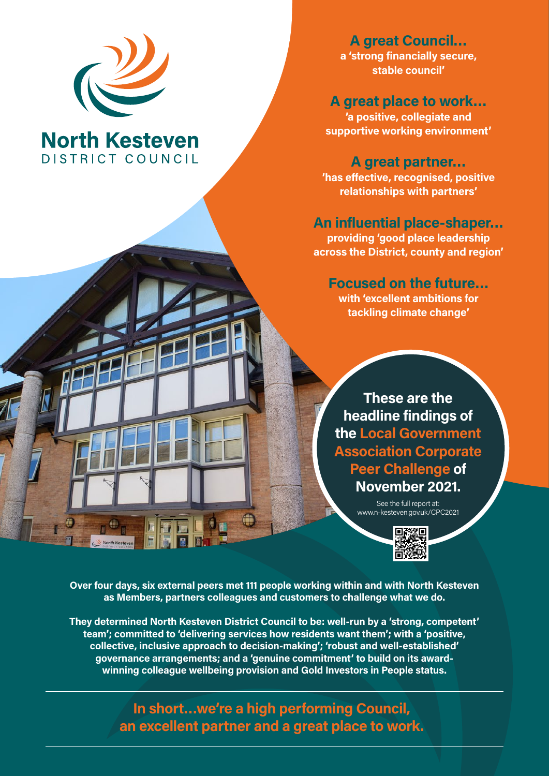

### **North Kesteven** DISTRICT COUNCIL

**A great Council… a 'strong financially secure, stable council'**

**A great place to work… 'a positive, collegiate and supportive working environment'**

**A great partner…**

**'has effective, recognised, positive relationships with partners'**

#### **An influential place-shaper…**

**providing 'good place leadership across the District, county and region'**

#### **Focused on the future…**

**with 'excellent ambitions for tackling climate change'**

**These are the headline findings of the Local Government Association Corporate Peer Challenge of November 2021.**

> See the full report at: www.n-kesteven.gov.uk/CPC2021



**Over four days, six external peers met 111 people working within and with North Kesteven as Members, partners colleagues and customers to challenge what we do.**

**They determined North Kesteven District Council to be: well-run by a 'strong, competent' team'; committed to 'delivering services how residents want them'; with a 'positive, collective, inclusive approach to decision-making'; 'robust and well-established' governance arrangements; and a 'genuine commitment' to build on its awardwinning colleague wellbeing provision and Gold Investors in People status.**

> **In short…we're a high performing Council, an excellent partner and a great place to work.**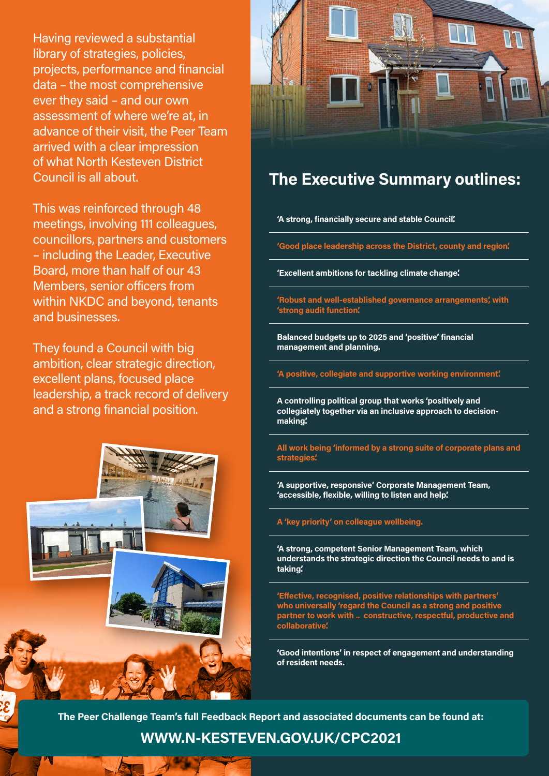Having reviewed a substantial library of strategies, policies, projects, performance and financial data – the most comprehensive ever they said – and our own assessment of where we're at, in advance of their visit, the Peer Team arrived with a clear impression of what North Kesteven District Council is all about.

This was reinforced through 48 meetings, involving 111 colleagues, councillors, partners and customers – including the Leader, Executive Board, more than half of our 43 Members, senior officers from within NKDC and beyond, tenants and businesses.

They found a Council with big ambition, clear strategic direction, excellent plans, focused place leadership, a track record of delivery and a strong financial position.





### **The Executive Summary outlines:**

**'A strong, financially secure and stable Council'.**

**'Good place leadership across the District, county and region'.** 

**'Excellent ambitions for tackling climate change'.** 

**'Robust and well-established governance arrangements', with 'strong audit function'.** 

**Balanced budgets up to 2025 and 'positive' financial management and planning.** 

**'A positive, collegiate and supportive working environment'.**

**A controlling political group that works 'positively and collegiately together via an inclusive approach to decisionmaking'.** 

**All work being 'informed by a strong suite of corporate plans and strategies'.** 

**'A supportive, responsive' Corporate Management Team, 'accessible, flexible, willing to listen and help'.** 

**A 'key priority' on colleague wellbeing.** 

**'A strong, competent Senior Management Team, which understands the strategic direction the Council needs to and is taking'.** 

**'Effective, recognised, positive relationships with partners' who universally 'regard the Council as a strong and positive partner to work with .. constructive, respectful, productive and collaborative'.** 

**'Good intentions' in respect of engagement and understanding of resident needs.**

**The Peer Challenge Team's full Feedback Report and associated documents can be found at:** 

**WWW.N-KESTEVEN.GOV.UK/CPC2021**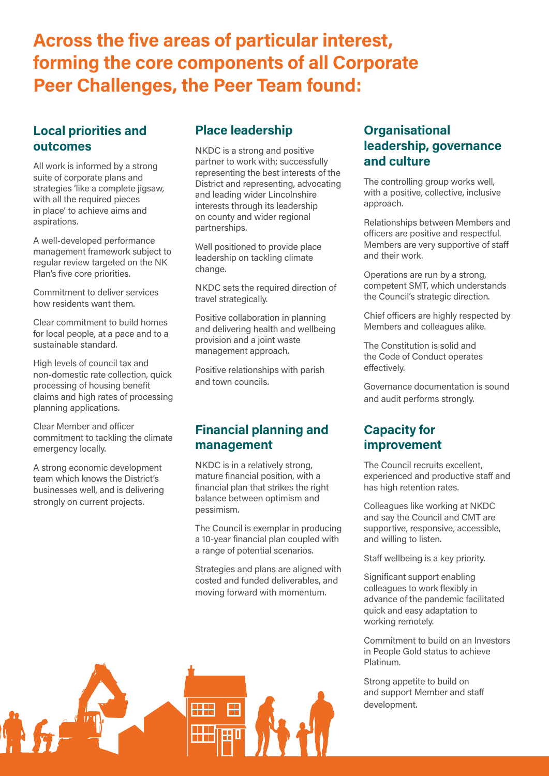## **Across the five areas of particular interest, forming the core components of all Corporate Peer Challenges, the Peer Team found:**

#### **Local priorities and outcomes**

All work is informed by a strong suite of corporate plans and strategies 'like a complete jigsaw, with all the required pieces in place' to achieve aims and aspirations.

A well-developed performance management framework subject to regular review targeted on the NK Plan's five core priorities.

Commitment to deliver services how residents want them.

Clear commitment to build homes for local people, at a pace and to a sustainable standard.

High levels of council tax and non-domestic rate collection, quick processing of housing benefit claims and high rates of processing planning applications.

Clear Member and officer commitment to tackling the climate emergency locally.

A strong economic development team which knows the District's businesses well, and is delivering strongly on current projects.

#### **Place leadership**

NKDC is a strong and positive partner to work with; successfully representing the best interests of the District and representing, advocating and leading wider Lincolnshire interests through its leadership on county and wider regional partnerships.

Well positioned to provide place leadership on tackling climate change.

NKDC sets the required direction of travel strategically.

Positive collaboration in planning and delivering health and wellbeing provision and a joint waste management approach.

Positive relationships with parish and town councils.

#### **Financial planning and management**

NKDC is in a relatively strong, mature financial position, with a financial plan that strikes the right balance between optimism and pessimism.

The Council is exemplar in producing a 10-year financial plan coupled with a range of potential scenarios.

Strategies and plans are aligned with costed and funded deliverables, and moving forward with momentum.

#### **Organisational leadership, governance and culture**

The controlling group works well, with a positive, collective, inclusive approach.

Relationships between Members and officers are positive and respectful. Members are very supportive of staff and their work.

Operations are run by a strong, competent SMT, which understands the Council's strategic direction.

Chief officers are highly respected by Members and colleagues alike.

The Constitution is solid and the Code of Conduct operates effectively.

Governance documentation is sound and audit performs strongly.

#### **Capacity for improvement**

The Council recruits excellent, experienced and productive staff and has high retention rates.

Colleagues like working at NKDC and say the Council and CMT are supportive, responsive, accessible, and willing to listen.

Staff wellbeing is a key priority.

Significant support enabling colleagues to work flexibly in advance of the pandemic facilitated quick and easy adaptation to working remotely.

Commitment to build on an Investors in People Gold status to achieve Platinum.

Strong appetite to build on and support Member and staff development.